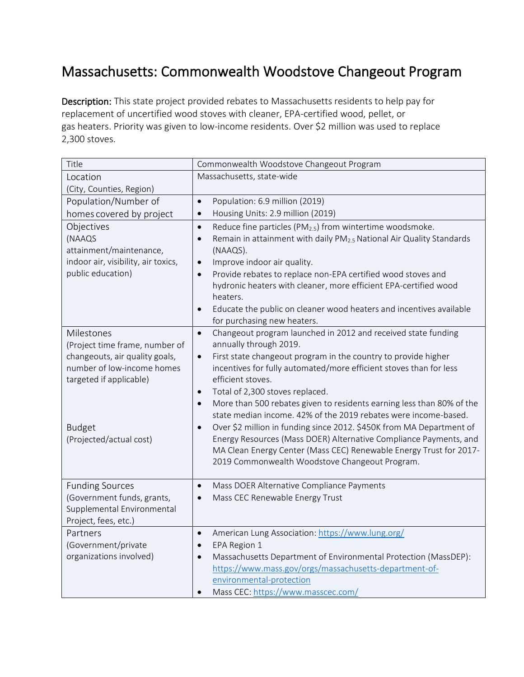## Massachusetts: Commonwealth Woodstove Changeout Program

Description: This state project provided rebates to Massachusetts residents to help pay for replacement of uncertified wood stoves with cleaner, EPA-certified wood, pellet, or gas heaters. Priority was given to low-income residents. Over \$2 million was used to replace 2,300 stoves.

| Title                               | Commonwealth Woodstove Changeout Program                                                                        |
|-------------------------------------|-----------------------------------------------------------------------------------------------------------------|
| Location                            | Massachusetts, state-wide                                                                                       |
| (City, Counties, Region)            |                                                                                                                 |
| Population/Number of                | Population: 6.9 million (2019)<br>$\bullet$                                                                     |
| homes covered by project            | Housing Units: 2.9 million (2019)<br>$\bullet$                                                                  |
| Objectives                          | Reduce fine particles (PM <sub>2.5</sub> ) from wintertime woodsmoke.<br>$\bullet$                              |
| (NAAQS                              | Remain in attainment with daily PM <sub>2.5</sub> National Air Quality Standards<br>$\bullet$                   |
| attainment/maintenance,             | (NAAQS).                                                                                                        |
| indoor air, visibility, air toxics, | Improve indoor air quality.<br>$\bullet$                                                                        |
| public education)                   | Provide rebates to replace non-EPA certified wood stoves and<br>$\bullet$                                       |
|                                     | hydronic heaters with cleaner, more efficient EPA-certified wood                                                |
|                                     | heaters.                                                                                                        |
|                                     | Educate the public on cleaner wood heaters and incentives available<br>$\bullet$<br>for purchasing new heaters. |
| Milestones                          | Changeout program launched in 2012 and received state funding<br>$\bullet$                                      |
| (Project time frame, number of      | annually through 2019.                                                                                          |
| changeouts, air quality goals,      | First state changeout program in the country to provide higher<br>$\bullet$                                     |
| number of low-income homes          | incentives for fully automated/more efficient stoves than for less                                              |
| targeted if applicable)             | efficient stoves.                                                                                               |
|                                     | Total of 2,300 stoves replaced.<br>$\bullet$                                                                    |
|                                     | More than 500 rebates given to residents earning less than 80% of the<br>$\bullet$                              |
|                                     | state median income. 42% of the 2019 rebates were income-based.                                                 |
| <b>Budget</b>                       | Over \$2 million in funding since 2012. \$450K from MA Department of<br>$\bullet$                               |
| (Projected/actual cost)             | Energy Resources (Mass DOER) Alternative Compliance Payments, and                                               |
|                                     | MA Clean Energy Center (Mass CEC) Renewable Energy Trust for 2017-                                              |
|                                     | 2019 Commonwealth Woodstove Changeout Program.                                                                  |
| <b>Funding Sources</b>              | Mass DOER Alternative Compliance Payments<br>$\bullet$                                                          |
| (Government funds, grants,          | Mass CEC Renewable Energy Trust<br>$\bullet$                                                                    |
| Supplemental Environmental          |                                                                                                                 |
| Project, fees, etc.)                |                                                                                                                 |
| Partners                            | American Lung Association: https://www.lung.org/<br>$\bullet$                                                   |
| (Government/private                 | EPA Region 1<br>$\bullet$                                                                                       |
| organizations involved)             | Massachusetts Department of Environmental Protection (MassDEP):                                                 |
|                                     | https://www.mass.gov/orgs/massachusetts-department-of-                                                          |
|                                     | environmental-protection                                                                                        |
|                                     | Mass CEC: https://www.masscec.com/                                                                              |